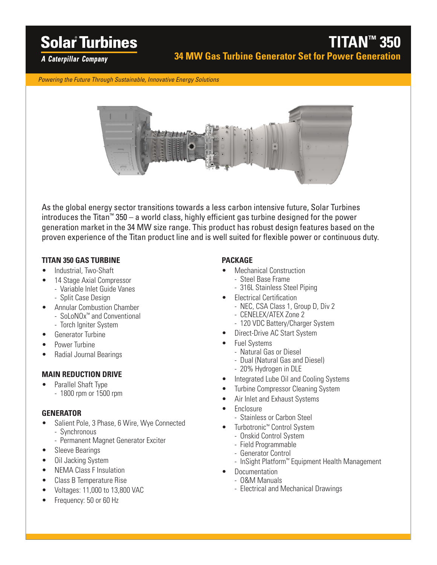# **Solar Turbines**

A Caterpillar Company

*Powering the Future Through Sustainable, Innovative Energy Solutions*



As the global energy sector transitions towards a less carbon intensive future, Solar Turbines introduces the Titan™ 350 – a world class, highly efficient gas turbine designed for the power generation market in the 34 MW size range. This product has robust design features based on the proven experience of the Titan product line and is well suited for flexible power or continuous duty.

### **TITAN 350 GAS TURBINE**

- Industrial, Two-Shaft
- 14 Stage Axial Compressor
	- Variable Inlet Guide Vanes
	- Split Case Design
- Annular Combustion Chamber
	- SoLoNOx™ and Conventional
	- Torch Igniter System
- Generator Turbine
- Power Turbine
- Radial Journal Bearings

### **MAIN REDUCTION DRIVE**

• Parallel Shaft Type - 1800 rpm or 1500 rpm

### **GENERATOR**

- Salient Pole, 3 Phase, 6 Wire, Wye Connected - Synchronous
	- Permanent Magnet Generator Exciter
- Sleeve Bearings
- Oil Jacking System
- NEMA Class F Insulation
- Class B Temperature Rise
- Voltages: 11,000 to 13,800 VAC
- Frequency: 50 or 60 Hz

### **PACKAGE**

- Mechanical Construction - Steel Base Frame
	- 316L Stainless Steel Piping
- Electrical Certification
	- NEC, CSA Class 1, Group D, Div 2
	- CENELEX/ATEX Zone 2
	- 120 VDC Battery/Charger System
- Direct-Drive AC Start System
- Fuel Systems
	- Natural Gas or Diesel
	- Dual (Natural Gas and Diesel)
	- 20% Hydrogen in DLE
- Integrated Lube Oil and Cooling Systems
- Turbine Compressor Cleaning System
- Air Inlet and Exhaust Systems
- Enclosure
	- Stainless or Carbon Steel
- Turbotronic™ Control System
	- Onskid Control System
	- Field Programmable
	- Generator Control
	- InSight Platform™ Equipment Health Management
- **Documentation** 
	- O&M Manuals
	- Electrical and Mechanical Drawings